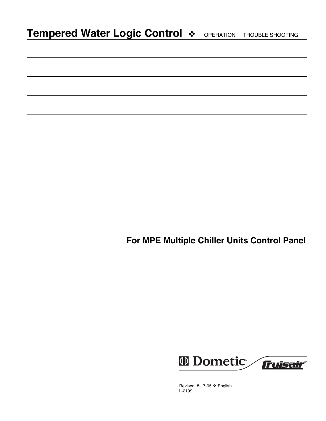|  |  |  |  |  |  |  | Tempered Water Logic Control $\ast$ OPERATION TROUBLE SHOOTING |
|--|--|--|--|--|--|--|----------------------------------------------------------------|
|--|--|--|--|--|--|--|----------------------------------------------------------------|

**For MPE Multiple Chiller Units Control Panel**



Revised: 8-17-05 ❖ English L-2199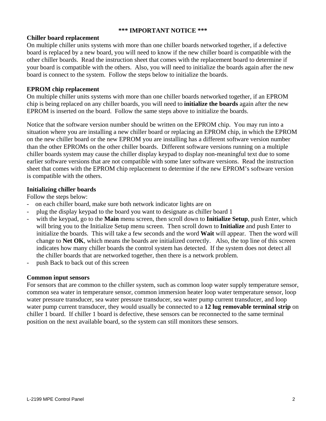## **\*\*\* IMPORTANT NOTICE \*\*\***

### **Chiller board replacement**

On multiple chiller units systems with more than one chiller boards networked together, if a defective board is replaced by a new board, you will need to know if the new chiller board is compatible with the other chiller boards. Read the instruction sheet that comes with the replacement board to determine if your board is compatible with the others. Also, you will need to initialize the boards again after the new board is connect to the system. Follow the steps below to initialize the boards.

## **EPROM chip replacement**

On multiple chiller units systems with more than one chiller boards networked together, if an EPROM chip is being replaced on any chiller boards, you will need to **initialize the boards** again after the new EPROM is inserted on the board. Follow the same steps above to initialize the boards.

Notice that the software version number should be written on the EPROM chip. You may run into a situation where you are installing a new chiller board or replacing an EPROM chip, in which the EPROM on the new chiller board or the new EPROM you are installing has a different software version number than the other EPROMs on the other chiller boards. Different software versions running on a multiple chiller boards system may cause the chiller display keypad to display non-meaningful text due to some earlier software versions that are not compatible with some later software versions. Read the instruction sheet that comes with the EPROM chip replacement to determine if the new EPROM's software version is compatible with the others.

#### **Initializing chiller boards**

Follow the steps below:

- on each chiller board, make sure both network indicator lights are on
- plug the display keypad to the board you want to designate as chiller board 1
- with the keypad, go to the **Main** menu screen, then scroll down to **Initialize Setup**, push Enter, which will bring you to the Initialize Setup menu screen. Then scroll down to **Initialize** and push Enter to initialize the boards. This will take a few seconds and the word **Wait** will appear. Then the word will change to **Net OK**, which means the boards are initialized correctly. Also, the top line of this screen indicates how many chiller boards the control system has detected. If the system does not detect all the chiller boards that are networked together, then there is a network problem.
- push Back to back out of this screen

#### **Common input sensors**

For sensors that are common to the chiller system, such as common loop water supply temperature sensor, common sea water in temperature sensor, common immersion heater loop water temperature sensor, loop water pressure transducer, sea water pressure transducer, sea water pump current transducer, and loop water pump current transducer, they would usually be connected to a **12 lug removable terminal strip** on chiller 1 board. If chiller 1 board is defective, these sensors can be reconnected to the same terminal position on the next available board, so the system can still monitors these sensors.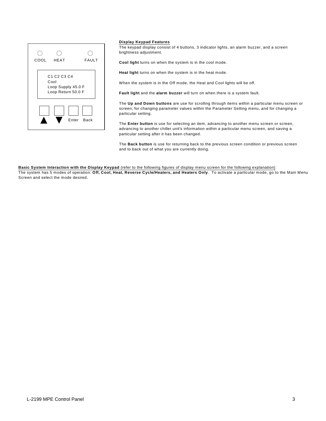

#### **Display Keypad Features**

The keypad display consist of 4 buttons, 3 indicator lights, an alarm buzzer, and a screen brightness adjustment.

**Cool light** turns on when the system is in the cool mode.

**Heat light** turns on when the system is in the heat mode.

When the system is in the Off mode, the Heat and Cool lights will be off.

**Fault light** and the **alarm buzzer** will turn on when there is a system fault.

The **Up and Down buttons** are use for scrolling through items within a particular menu screen or screen, for changing parameter values within the Parameter Setting menu, and for changing a particular setting.

The **Enter button** is use for selecting an item, advancing to another menu screen or screen, advancing to another chiller unit's information within a particular menu screen, and saving a particular setting after it has been changed.

The **Back button** is use for returning back to the previous screen condition or previous screen and to back out of what you are currently doing.

**Basic System Interaction with the Display Keypad** (refer to the following figures of display menu screen for the following explanation) The system has 5 modes of operation: **Off, Cool, Heat, Reverse Cycle/Heaters, and Heaters Only**. To activate a particular mode, go to the Main Menu Screen and select the mode desired.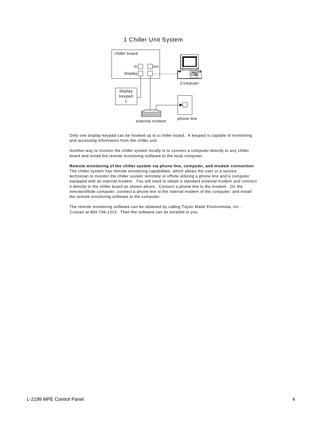#### 1 Chiller Unit System



Only one display keypad can be hooked up to a chiller board. A keypad is capable of monitoring and accessing information from the chiller unit.

Another way to monitor the chiller system locally is to connect a computer directly to any chiller board and install the remote monitoring software to the local computer.

**Remote monitoring of the chiller system via phone line, computer, and modem connection:** The chiller system has remote monitoring capabilities, which allows the user or a service technician to monitor the chiller system remotely or offsite utilizing a phone line and a computer equipped with an internal modem. You will need to obtain a standard external modem and connect it directly to the chiller board as shown above. Connect a phone line to the modem. On the remote/offsite computer, connect a phone line to the internal modem of the computer, and install the remote monitoring software to the computer.

The remote monitoring software can be obtained by calling Taylor Made Environmeta, Inc. - Cruisair at 804-746-1313. Then the software can be emailed to you.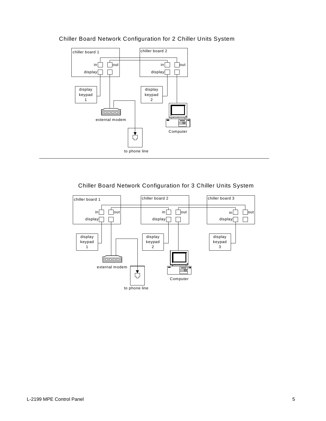

# Chiller Board Network Configuration for 2 Chiller Units System

## Chiller Board Network Configuration for 3 Chiller Units System

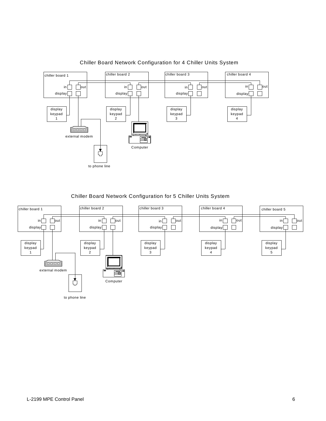

Chiller Board Network Configuration for 4 Chiller Units System

#### Chiller Board Network Configuration for 5 Chiller Units System

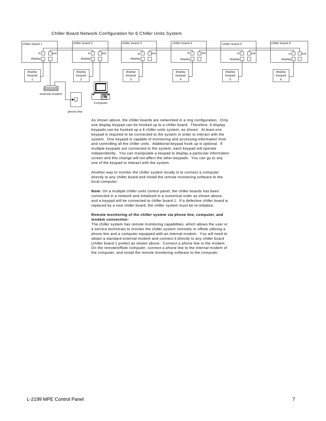#### Chiller Board Network Configuration for 6 Chiller Units System



As shown above, the chiller boards are networked in a ring configuration. Only one display keypad can be hooked up to a chiller board. Therefore, 6 display keypads can be hooked up a 6 chiller units system, as shown. At least one keypad is required to be connected to the system in order to interact with the system. One keypad is capable of monitoring and accessing information from and controlling all the chiller units. Additional keypad hook up is optional. If multiple keypads are connected to the system, each keypad will operate independently. You can manipulate a keypad to display a particular information screen and this change will not affect the other keypads. You can go to any one of the keypad to interact with the system.

Another way to monitor the chiller system locally is to connect a computer directly to any chiller board and install the remote monitoring software to the local computer.

**Note:** On a multiple chiller units control panel, the chiller boards has been connected in a network and initialized in a numerical order as shown above, and a keypad will be connected to chiller board 1. If a defective chiller board is replaced by a new chiller board, the chiller system must be re-initialize.

#### **Remote monitoring of the chiller system via phone line, computer, and modem connection:**

The chiller system has remote monitoring capabilities, which allows the user or a service technician to monitor the chiller system remotely or offsite utilizing a phone line and a computer equipped with an internal modem. You will need to obtain a standard external modem and connect it directly to any chiller board (chiller board 1 prefer) as shown above. Connect a phone line to the modem. On the remote/offsite computer, connect a phone line to the internal modem of the computer, and install the remote monitoring software to the computer.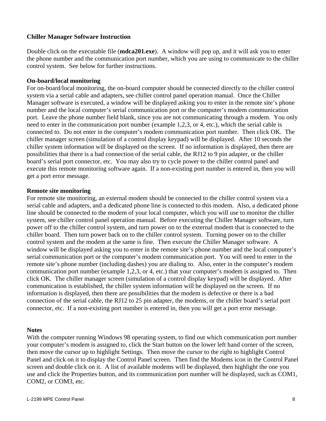## **Chiller Manager Software Instruction**

Double click on the executable file (**mdca201.exe**). A window will pop up, and it will ask you to enter the phone number and the communication port number, which you are using to communicate to the chiller control system. See below for further instructions.

## **On-board/local monitoring**

For on-board/local monitoring, the on-board computer should be connected directly to the chiller control system via a serial cable and adapters, see chiller control panel operation manual. Once the Chiller Manager software is executed, a window will be displayed asking you to enter in the remote site's phone number and the local computer's serial communication port or the computer's modem communication port. Leave the phone number field blank, since you are not communicating through a modem. You only need to enter in the communication port number (example 1,2,3, or 4, etc.), which the serial cable is connected to. Do not enter in the computer's modem communication port number. Then click OK. The chiller manager screen (simulation of a control display keypad) will be displayed. After 10 seconds the chiller system information will be displayed on the screen. If no information is displayed, then there are possibilities that there is a bad connection of the serial cable, the RJ12 to 9 pin adapter, or the chiller board's serial port connector, etc. You may also try to cycle power to the chiller control panel and execute this remote monitoring software again. If a non-existing port number is entered in, then you will get a port error message.

## **Remote site monitoring**

For remote site monitoring, an external modem should be connected to the chiller control system via a serial cable and adapters, and a dedicated phone line is connected to this modem. Also, a dedicated phone line should be connected to the modem of your local computer, which you will use to monitor the chiller system, see chiller control panel operation manual. Before executing the Chiller Manager software, turn power off to the chiller control system, and turn power on to the external modem that is connected to the chiller board. Then turn power back on to the chiller control system. Turning power on to the chiller control system and the modem at the same is fine. Then execute the Chiller Manager software. A window will be displayed asking you to enter in the remote site's phone number and the local computer's serial communication port or the computer's modem communication port. You will need to enter in the remote site's phone number (including dashes) you are dialing to. Also, enter in the computer's modem communication port number (example 1,2,3, or 4, etc.) that your computer's modem is assigned to. Then click OK. The chiller manager screen (simulation of a control display keypad) will be displayed. After communication is established, the chiller system information will be displayed on the screen. If no information is displayed, then there are possibilities that the modem is defective or there is a bad connection of the serial cable, the RJ12 to 25 pin adapter, the modems, or the chiller board's serial port connector, etc. If a non-existing port number is entered in, then you will get a port error message.

## **Notes**

With the computer running Windows 98 operating system, to find out which communication port number your computer's modem is assigned to, click the Start button on the lower left hand corner of the screen, then move the cursor up to highlight Settings. Then move the cursor to the right to highlight Control Panel and click on it to display the Control Panel screen. Then find the Modems icon in the Control Panel screen and double click on it. A list of available modems will be displayed, then highlight the one you use and click the Properties button, and its communication port number will be displayed, such as COM1, COM2, or COM3, etc.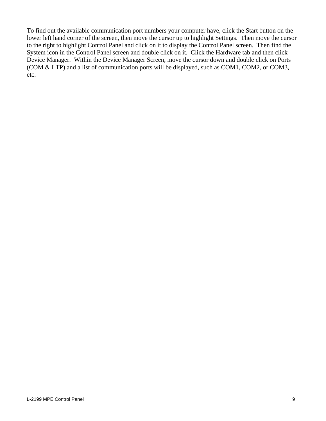To find out the available communication port numbers your computer have, click the Start button on the lower left hand corner of the screen, then move the cursor up to highlight Settings. Then move the cursor to the right to highlight Control Panel and click on it to display the Control Panel screen. Then find the System icon in the Control Panel screen and double click on it. Click the Hardware tab and then click Device Manager. Within the Device Manager Screen, move the cursor down and double click on Ports (COM & LTP) and a list of communication ports will be displayed, such as COM1, COM2, or COM3, etc.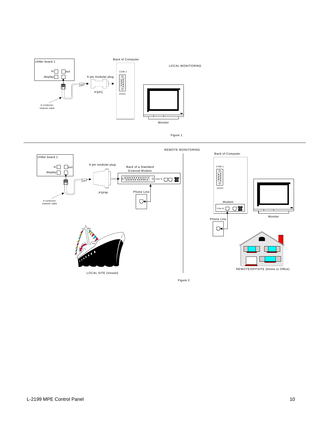



Figure 2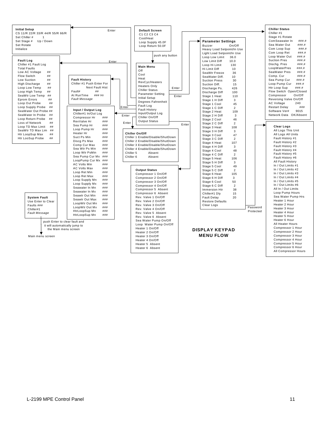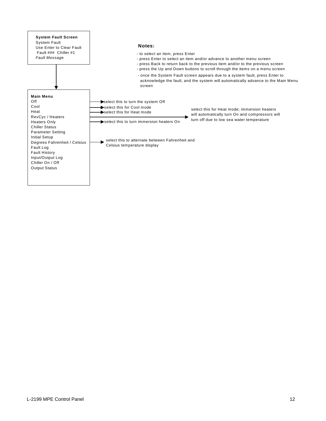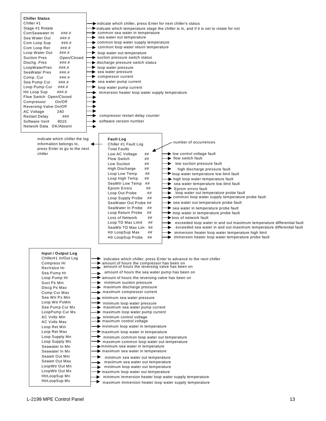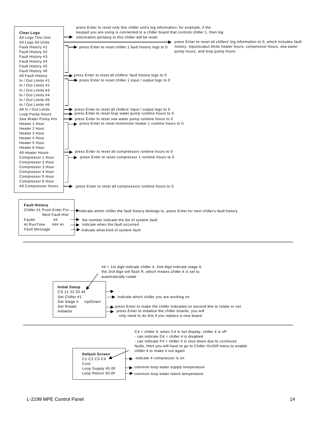

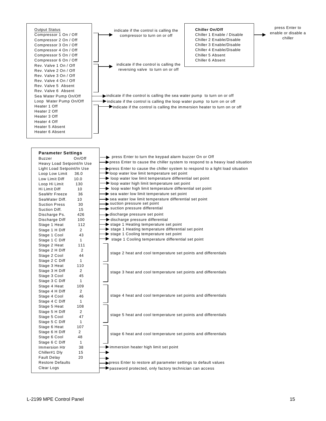Output Status Compressor 1 On / Off Compressor 2 On / Off Compressor 3 On / Off Compressor 4 On / Off Compressor 5 On / Off Compressor 6 On / Off Rev. Valve 1 On / Off Rev. Valve 2 On / Off Rev. Valve 3 On / Off Rev. Valve 4 On / Off Rev. Valve 5 Absent Rev. Valve 6 Absent Sea Water Pump On/Off Loop Water Pump On/Off Heater 1 Off Heater 2 Off Heater 3 Off Heater 4 Off Heater 5 Absent Heater 6 Absent

indicate if the control is calling the compressor to turn on or off

indicate if the control is calling the reversing valve to turn on or off

indicate if the control is calling the sea water pump to turn on or off  $\blacktriangleright$  indicate if the control is calling the loop water pump to turn on or off Indicate if the control is calling the immersion heater to turn on or off

**Chiller On/Off**

Chiller 1 Enable / Disable Chiller 2 Enable/Disable Chiller 3 Enable/Disable Chiller 4 Enable/Disable Chiller 5 Absent Chiller 6 Absent

| <b>Parameter Settings</b><br><b>Buzzer</b> | On/Off         | ۰ ۱                               |
|--------------------------------------------|----------------|-----------------------------------|
| Heavy Load Setpoint/In Use                 |                | ▶pı                               |
| Light Load Setpoint/In Use                 |                |                                   |
| Loop Low Limit                             | 36.0           | ll≻pr<br>$\blacktriangleright$ lo |
| Low Limit Diff                             | 10.0           | ▶  (                              |
| Loop Hi Limit                              | 130            | ▶∣                                |
| Hi Limit Diff                              | 10             | ▶ ∣                               |
| SeaWtr Freeze                              | 36             | $\blacktriangleright$ s           |
| SeaWater Diff.                             | 10             | $\overline{\phantom{a}}$ s        |
| <b>Suction Press</b>                       | 30             | $\blacktriangleright$ S           |
| Suction Diff.                              | 15             | $\blacktriangleright$ s           |
| Discharge Ps.                              | 426            | ▶di                               |
| Discharge Diff                             | 100            | ►d                                |
| Stage 1 Heat                               | 112            | $\blacktriangleright$ s           |
| Stage 1 H Diff                             | 2              | . s                               |
| Stage 1 Cool                               | 43             | . s                               |
| Stage 1 C Diff                             | 1              | ś                                 |
| Stage 2 Heat                               | 111            |                                   |
| Stage 2 H Diff                             | $\overline{2}$ |                                   |
| Stage 2 Cool                               | 44             | s                                 |
| Stage 2 C Diff                             | 1              |                                   |
| Stage 3 Heat                               | 110            |                                   |
| Stage 3 H Diff                             | 2              | s                                 |
| Stage 3 Cool                               | 45             |                                   |
| Stage 3 C Diff                             | 1              |                                   |
| Stage 4 Heat                               | 109            |                                   |
| Stage 4 H Diff                             | 2              |                                   |
| Stage 4 Cool                               | 46             | s                                 |
| Stage 4 C Diff                             | 1              |                                   |
| Stage 5 Heat                               | 108            |                                   |
| Stage 5 H Diff                             | 2              | s                                 |
| Stage 5 Cool                               | 47             |                                   |
| Stage 5 C Diff                             | 1              |                                   |
| Stage 6 Heat                               | 107            |                                   |
| Stage 6 H Diff                             | 2              | S                                 |
| Stage 6 Cool                               | 48             |                                   |
| Stage 6 C Diff                             | 1              |                                   |
| Immersion Htr                              | 38             | ► in                              |
| Chiller#1 Dly                              | 15             |                                   |
| <b>Fault Delay</b>                         | 20             |                                   |
| <b>Restore Defaults</b>                    |                | •pr                               |
| Clear Logs                                 |                | ►pa                               |

| press Enter to turn the keypad alarm buzzer On or Off                                                                                                                                                   |
|---------------------------------------------------------------------------------------------------------------------------------------------------------------------------------------------------------|
| $\rightarrow$ press Enter to cause the chiller system to respond to a heavy load situation                                                                                                              |
| → press Enter to cause the chiller system to respond to a light load situation<br>loop water low limit temperature set point<br>$\rightarrow$ loop water low limit temperature differential set point   |
| $\rightarrow$ loop water high limit temperature set point<br>loop water high limit temperature differential set point                                                                                   |
| Sea water low limit temperature set point<br>sea water low limit temperature differential set point<br>suction pressure set point<br>suction pressure differential                                      |
| discharge pressure set point<br>discharge pressure differential<br>stage 1 Heating temperature set point<br>stage 1 Heating temperature differential set point<br>stage 1 Cooling temperature set point |
| stage 1 Cooling temperature differential set point                                                                                                                                                      |
| stage 2 heat and cool temperature set points and differentials                                                                                                                                          |
| stage 3 heat and cool temperature set points and differentials                                                                                                                                          |
|                                                                                                                                                                                                         |
| stage 4 heat and cool temperature set points and differentials                                                                                                                                          |
| stage 5 heat and cool temperature set points and differentials                                                                                                                                          |
| stage 6 heat and cool temperature set points and differentials                                                                                                                                          |
| $\blacktriangleright$ immersion heater high limit set point                                                                                                                                             |
| press Enter to restore all parameter settings to default values<br>password protected, only factory technician can access                                                                               |
|                                                                                                                                                                                                         |

#### press Enter to enable or disable a chiller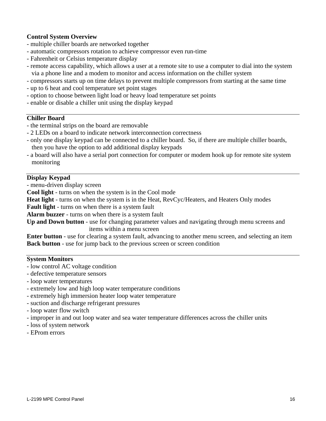## **Control System Overview**

- multiple chiller boards are networked together
- automatic compressors rotation to achieve compressor even run-time
- Fahrenheit or Celsius temperature display
- remote access capability, which allows a user at a remote site to use a computer to dial into the system via a phone line and a modem to monitor and access information on the chiller system
- compressors starts up on time delays to prevent multiple compressors from starting at the same time
- up to 6 heat and cool temperature set point stages
- option to choose between light load or heavy load temperature set points
- enable or disable a chiller unit using the display keypad

## **Chiller Board**

- the terminal strips on the board are removable
- 2 LEDs on a board to indicate network interconnection correctness
- only one display keypad can be connected to a chiller board. So, if there are multiple chiller boards, then you have the option to add additional display keypads
- a board will also have a serial port connection for computer or modem hook up for remote site system monitoring

## **Display Keypad**

- menu-driven display screen

**Cool light** - turns on when the system is in the Cool mode

**Heat light** - turns on when the system is in the Heat, RevCyc/Heaters, and Heaters Only modes

**Fault light** - turns on when there is a system fault

**Alarm buzzer** - turns on when there is a system fault

**Up and Down button** - use for changing parameter values and navigating through menu screens and items within a menu screen

**Enter button** - use for clearing a system fault, advancing to another menu screen, and selecting an item **Back button** - use for jump back to the previous screen or screen condition

## **System Monitors**

- low control AC voltage condition
- defective temperature sensors
- loop water temperatures
- extremely low and high loop water temperature conditions
- extremely high immersion heater loop water temperature
- suction and discharge refrigerant pressures
- loop water flow switch
- improper in and out loop water and sea water temperature differences across the chiller units
- loss of system network
- EProm errors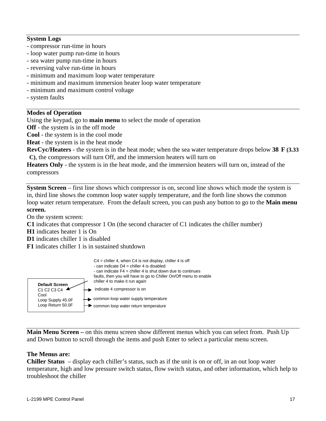## **System Logs**

- compressor run-time in hours
- loop water pump run-time in hours
- sea water pump run-time in hours
- reversing valve run-time in hours
- minimum and maximum loop water temperature
- minimum and maximum immersion heater loop water temperature
- minimum and maximum control voltage
- system faults

#### **Modes of Operation**

Using the keypad, go to **main menu** to select the mode of operation

**Off** - the system is in the off mode

**Cool** - the system is in the cool mode

**Heat** - the system is in the heat mode

**RevCyc/Heaters** - the system is in the heat mode; when the sea water temperature drops below **38 F (3.33 C)**, the compressors will turn Off, and the immersion heaters will turn on

**Heaters Only** - the system is in the heat mode, and the immersion heaters will turn on, instead of the compressors

**System Screen** – first line shows which compressor is on, second line shows which mode the system is in, third line shows the common loop water supply temperature, and the forth line shows the common loop water return temperature. From the default screen, you can push any button to go to the **Main menu screen.**

On the system screen:

- **C1** indicates that compressor 1 On (the second character of C1 indicates the chiller number)
- **H1** indicates heater 1 is On
- **D1** indicates chiller 1 is disabled
- **F1** indicates chiller 1 is in sustained shutdown



**Main Menu Screen –** on this menu screen show different menus which you can select from. Push Up and Down button to scroll through the items and push Enter to select a particular menu screen.

## **The Menus are:**

**Chiller Status** – display each chiller's status, such as if the unit is on or off, in an out loop water temperature, high and low pressure switch status, flow switch status, and other information, which help to troubleshoot the chiller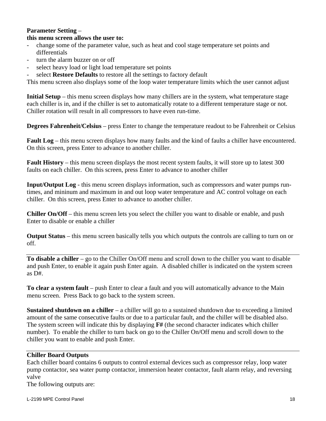## **Parameter Setting** – **this menu screen allows the user to:**

- change some of the parameter value, such as heat and cool stage temperature set points and differentials
- turn the alarm buzzer on or off
- select heavy load or light load temperature set points
- select **Restore Defaults** to restore all the settings to factory default

This menu screen also displays some of the loop water temperature limits which the user cannot adjust

**Initial Setup** – this menu screen displays how many chillers are in the system, what temperature stage each chiller is in, and if the chiller is set to automatically rotate to a different temperature stage or not. Chiller rotation will result in all compressors to have even run-time.

**Degrees Fahrenheit/Celsius** – press Enter to change the temperature readout to be Fahrenheit or Celsius

**Fault Log** – this menu screen displays how many faults and the kind of faults a chiller have encountered. On this screen, press Enter to advance to another chiller.

**Fault History** – this menu screen displays the most recent system faults, it will store up to latest 300 faults on each chiller. On this screen, press Enter to advance to another chiller

**Input/Output Log** - this menu screen displays information, such as compressors and water pumps runtimes, and mininum and maximum in and out loop water temperature and AC control voltage on each chiller. On this screen, press Enter to advance to another chiller.

**Chiller On/Off** – this menu screen lets you select the chiller you want to disable or enable, and push Enter to disable or enable a chiller

**Output Status** – this menu screen basically tells you which outputs the controls are calling to turn on or off.

**To disable a chiller** – go to the Chiller On/Off menu and scroll down to the chiller you want to disable and push Enter, to enable it again push Enter again. A disabled chiller is indicated on the system screen as D#.

**To clear a system fault** – push Enter to clear a fault and you will automatically advance to the Main menu screen. Press Back to go back to the system screen.

**Sustained shutdown on a chiller** – a chiller will go to a sustained shutdown due to exceeding a limited amount of the same consecutive faults or due to a particular fault, and the chiller will be disabled also. The system screen will indicate this by displaying **F#** (the second character indicates which chiller number). To enable the chiller to turn back on go to the Chiller On/Off menu and scroll down to the chiller you want to enable and push Enter.

## **Chiller Board Outputs**

Each chiller board contains 6 outputs to control external devices such as compressor relay, loop water pump contactor, sea water pump contactor, immersion heater contactor, fault alarm relay, and reversing valve

The following outputs are: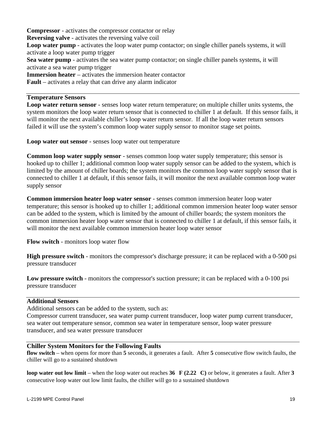**Compressor** - activates the compressor contactor or relay **Reversing valve** - activates the reversing valve coil **Loop water pump** - activates the loop water pump contactor; on single chiller panels systems, it will activate a loop water pump trigger **Sea water pump** - activates the sea water pump contactor; on single chiller panels systems, it will activate a sea water pump trigger **Immersion heater** – activates the immersion heater contactor **Fault** – activates a relay that can drive any alarm indicator

## **Temperature Sensors**

**Loop water return sensor** - senses loop water return temperature; on multiple chiller units systems, the system monitors the loop water return sensor that is connected to chiller 1 at default. If this sensor fails, it will monitor the next available chiller's loop water return sensor. If all the loop water return sensors failed it will use the system's common loop water supply sensor to monitor stage set points.

**Loop water out sensor** - senses loop water out temperature

**Common loop water supply sensor** - senses common loop water supply temperature; this sensor is hooked up to chiller 1; additional common loop water supply sensor can be added to the system, which is limited by the amount of chiller boards; the system monitors the common loop water supply sensor that is connected to chiller 1 at default, if this sensor fails, it will monitor the next available common loop water supply sensor

**Common immersion heater loop water sensor** - senses common immersion heater loop water temperature; this sensor is hooked up to chiller 1; additional common immersion heater loop water sensor can be added to the system, which is limited by the amount of chiller boards; the system monitors the common immersion heater loop water sensor that is connected to chiller 1 at default, if this sensor fails, it will monitor the next available common immersion heater loop water sensor

**Flow switch** - monitors loop water flow

**High pressure switch** - monitors the compressor's discharge pressure; it can be replaced with a 0-500 psi pressure transducer

**Low pressure switch** - monitors the compressor's suction pressure; it can be replaced with a 0-100 psi pressure transducer

## **Additional Sensors**

Additional sensors can be added to the system, such as:

Compressor current transducer, sea water pump current transducer, loop water pump current transducer, sea water out temperature sensor, common sea water in temperature sensor, loop water pressure transducer, and sea water pressure transducer

## **Chiller System Monitors for the Following Faults**

**flow switch** – when opens for more than **5** seconds, it generates a fault. After **5** consecutive flow switch faults, the chiller will go to a sustained shutdown

**loop water out low limit** – when the loop water out reaches **36 F (2.22 C)** or below, it generates a fault. After **3** consecutive loop water out low limit faults, the chiller will go to a sustained shutdown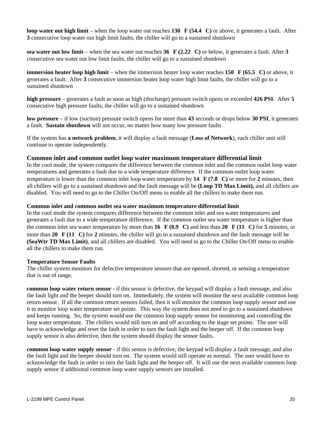**loop water out high limit** – when the loop water out reaches **130 F (54.4 C)** or above, it generates a fault. After **3** consecutive loop water out high limit faults, the chiller will go to a sustained shutdown

**sea water out low limit** – when the sea water out reaches **36 F (2.22 C)** or below, it generates a fault. After **3** consecutive sea water out low limit faults, the chiller will go to a sustained shutdown

**immersion heater loop high limit** – when the immersion heater loop water reaches **150 F (65.5 C)** or above, it generates a fault. After **3** consecutive immersion heater loop water high limit faults, the chiller will go to a sustained shutdown

**high pressure** – generates a fault as soon as high (discharge) pressure switch opens or exceeded **426 PSI**. After **5** consecutive high pressure faults, the chiller will go to a sustained shutdown

**low pressure** – if low (suction) pressure switch opens for more than **43** seconds or drops below **30 PSI**, it generates a fault. **Sustain shutdown** will not occur, no matter how many low pressure faults

If the system has **a network problem**, it will display a fault message (**Loss of Network**), each chiller unit still continue to operate independently.

#### **Common inlet and common outlet loop water maximum temperature differential limit**

In the cool mode, the system compares the difference between the common inlet and the common outlet loop water temperatures and generates a fault due to a wide temperature difference. If the common outlet loop water temperature is lower than the common inlet loop water temperature by **14 F (7.8 C)** or more for **2** minutes, then all chillers will go to a sustained shutdown and the fault message will be **(Loop TD Max Limit),** and all chillers are disabled.You will need to go to the Chiller On/Off menu to enable all the chillers to make them run.

#### **Common inlet and common outlet sea water maximum temperature differential limit**

In the cool mode the system compares difference between the common inlet and sea water temperatures and generates a fault due to a wide temperature difference. If the common outlet sea water temperature is higher than the common inlet sea water temperature by more than **16 F (8.9 C)** and less than **20 F (11 C)** for **5** minutes, or more than **20 F (11 C)** for **2** minutes, the chiller will go to a sustained shutdown and the fault message will be **(SeaWtr TD Max Limit)**, and all chillers are disabled.You will need to go to the Chiller On/Off menu to enable all the chillers to make them run.

#### **Temperature Sensor Faults**

The chiller system monitors for defective temperature sensors that are opened, shorted, or sensing a temperature that is out of range.

**common loop water return sensor** - if this sensor is defective, the keypad will display a fault message, and also the fault light and the beeper should turn on. Immediately, the system will monitor the next available common loop return sensor. If all the common return sensors failed, then it will monitor the common loop supply sensor and use it to monitor loop water temperature set points. This way the system does not need to go to a sustained shutdown and keeps running. So, the system would use the common loop supply sensor for monitoring and controlling the loop water temperature. The chillers would still turn on and off according to the stage set points. The user will have to acknowledge and reset the fault in order to turn the fault light and the beeper off. If the common loop supply sensor is also defective, then the system should display the sensor faults.

**common loop water supply sensor** - if this sensor is defective, the keypad will display a fault message, and also the fault light and the beeper should turn on. The system would still operate as normal. The user would have to acknowledge the fault in order to turn the fault light and the beeper off. It will use the next available common loop supply sensor if additional common loop water supply sensors are installed.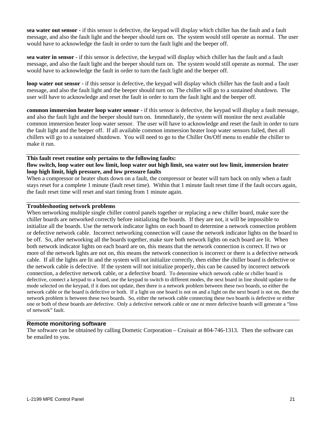**sea water out sensor** - if this sensor is defective, the keypad will display which chiller has the fault and a fault message, and also the fault light and the beeper should turn on. The system would still operate as normal. The user would have to acknowledge the fault in order to turn the fault light and the beeper off.

**sea water in sensor** - if this sensor is defective, the keypad will display which chiller has the fault and a fault message, and also the fault light and the beeper should turn on. The system would still operate as normal. The user would have to acknowledge the fault in order to turn the fault light and the beeper off.

**loop water out sensor** - if this sensor is defective, the keypad will display which chiller has the fault and a fault message, and also the fault light and the beeper should turn on. The chiller will go to a sustained shutdown. The user will have to acknowledge and reset the fault in order to turn the fault light and the beeper off.

**common immersion heater loop water sensor** - if this sensor is defective, the keypad will display a fault message, and also the fault light and the beeper should turn on. Immediately, the system will monitor the next available common immersion heater loop water sensor. The user will have to acknowledge and reset the fault in order to turn the fault light and the beeper off. If all available common immersion heater loop water sensors failed, then all chillers will go to a sustained shutdown. You will need to go to the Chiller On/Off menu to enable the chiller to make it run.

#### **This fault reset routine only pertains to the following faults: flow switch, loop water out low limit, loop water out high limit, sea water out low limit, immersion heater loop high limit, high pressure, and low pressure faults**

When a compressor or heater shuts down on a fault, the compressor or heater will turn back on only when a fault stays reset for a complete 1 minute (fault reset time). Within that 1 minute fault reset time if the fault occurs again, the fault reset time will reset and start timing from 1 minute again.

#### **Troubleshooting network problems**

When networking multiple single chiller control panels together or replacing a new chiller board, make sure the chiller boards are networked correctly before initializing the boards. If they are not, it will be impossible to initialize all the boards. Use the network indicator lights on each board to determine a network connection problem or defective network cable. Incorrect networking connection will cause the network indicator lights on the board to be off. So, after networking all the boards together, make sure both network lights on each board are lit. When both network indicator lights on each board are on, this means that the network connection is correct. If two or more of the network lights are not on, this means the network connection is incorrect or there is a defective network cable. If all the lights are lit and the system will not initialize correctly, then either the chiller board is defective or the network cable is defective. If the system will not initialize properly, this can be caused by incorrect network connection, a defective network cable, or a defective board. To determine which network cable or chiller board is defective, connect a keypad to a board, use the keypad to switch to different modes, the next board in line should update to the mode selected on the keypad, if it does not update, then there is a network problem between these two boards, so either the network cable or the board is defective or both. If a light on one board is not on and a light on the next board is not on, then the network problem is between these two boards. So, either the network cable connecting these two boards is defective or either one or both of these boards are defective. Only a defective network cable or one or more defective boards will generate a "loss of network" fault.

#### **Remote monitoring software**

The software can be obtained by calling Dometic Corporation – Cruisair at 804-746-1313. Then the software can be emailed to you.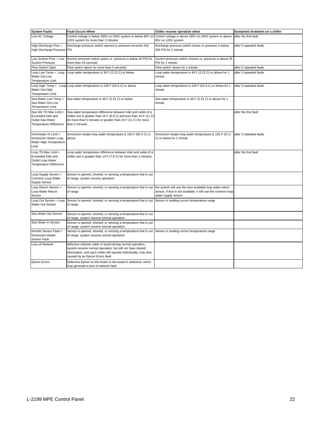| <b>System Faults</b>                                                                       | <b>Fault Occurs When</b>                                                                                                                                                                                                      | Chiller resume operation when                                                                                                                    | Sustained shutdown on a chiller |
|--------------------------------------------------------------------------------------------|-------------------------------------------------------------------------------------------------------------------------------------------------------------------------------------------------------------------------------|--------------------------------------------------------------------------------------------------------------------------------------------------|---------------------------------|
| Low AC Voltage                                                                             | Control voltage is below 180V on 240V system or below 85V on<br>120V system for more than 2 minutes                                                                                                                           | Control voltage is above 180V on 240V system or above<br>85V on 120V system                                                                      | after the first fault           |
| High Discharge Pres =<br>High Discharge Pressure PSI                                       | Discharge pressure switch opened or pressure exceeds 426                                                                                                                                                                      | Discharge pressure switch closes or pressure is below<br>326 PSI for 1 minute                                                                    | after 5 repeated faults         |
| Low Suction Pres = Low<br><b>Suction Pressure</b>                                          | Suction pressure switch opens or pressure is below 30 PSI for<br>more than 43 seconds                                                                                                                                         | Suction pressure switch closess or pressure is above 45<br>PSI for 1 minute                                                                      |                                 |
| Flow Switch Open                                                                           | Flow switch opens for more than 5 seconds                                                                                                                                                                                     | Flow switch closes for 1 minute                                                                                                                  | after 5 repeated faults         |
| Loop Low Temp = Loop<br>Water Out Low<br>Temperature Limit                                 | Loop water temperature is 36 F (2.22 C) or below                                                                                                                                                                              | Loop water temperature is 46 F (2.22 C) or above for 1<br>minute                                                                                 | after 3 repeated faults         |
| Water Out High<br><b>Temperature Limit</b>                                                 | Loop High Temp = Loop Loop water temperature is 130 F (54.4 C) or above                                                                                                                                                       | Loop water temperature is 120 F (54.4 C) or below for 1<br>minute                                                                                | after 3 repeated faults         |
| Sea Water Low Temp =<br>Sea Water Out Low<br>Temperature Limit                             | Sea water temperature is 36 F (2.22 C) or below                                                                                                                                                                               | Sea water temperature is 46 F (2.22 C) or above for 1<br>minute                                                                                  |                                 |
| Sea Wtr TD Max Limit =<br>Exceeded Inlet and<br>Outlet Sea Water<br>Temperature Difference | Sea water temperature difference between inlet and outlet of a<br>chiller unit is greater than 16 F (8.9 C) and less than 20 F (11 C)<br>for more than 5 minutes or greater than 20 F (11 C) for more<br>than 2 minutes       |                                                                                                                                                  | after the first fault           |
| ImmHeater Hi Limit =<br>Immersion Heater Loop<br>Water High Temperature<br>Limit           | Immersion heater loop water temperature is 150 F (65.5 C) or<br>above                                                                                                                                                         | Immersion heater loop water temperature is 135 F (57.2<br>C) or below for 1 minute                                                               | after 3 repeated faults         |
| Loop TD Max Limit =<br>Exceeded Inlet and<br>Outlet Loop Water<br>Temperature Difference   | Loop water temperature difference between inlet and outlet of a<br>chiller unit is greater than 14 F (7.8 C) for more than 2 minutes                                                                                          |                                                                                                                                                  | after the first fault           |
| Loop Supply Sensor =<br>Common Loop Water<br><b>Supply Sensor</b>                          | Sensor is opened, shorted, or sensing a temperature that is out<br>of range; system resume operation                                                                                                                          |                                                                                                                                                  |                                 |
| Loop Return Sensor =<br>Loop Water Return<br>Sensor                                        | Sensor is opened, shorted, or sensing a temperature that is out<br>of range                                                                                                                                                   | the system will use the next available loop water return<br>sensor, if that is not available, it will use the common loop<br>water supply sensor |                                 |
| Loop Out Sensor = Loop<br>Water Out Sensor                                                 | Sensor is opened, shorted, or sensing a temperature that is out<br>of range                                                                                                                                                   | Sensor is reading correct temperature range                                                                                                      |                                 |
| Sea Water Out Sensor                                                                       | Sensor is opened, shorted, or sensing a temperature that is out<br>of range; system resume normal operation                                                                                                                   |                                                                                                                                                  |                                 |
| Sea Water In Sensor                                                                        | Sensor is opened, shorted, or sensing a temperature that is out<br>of range; system resume normal operation                                                                                                                   |                                                                                                                                                  |                                 |
| ImmHtr Sensor Fault =<br><b>Immersion Heater</b><br>Sensor Fault                           | Sensor is opened, shorted, or sensing a temperature that is out Sensor is reading correct temperature range<br>of range; system resume normal operation                                                                       |                                                                                                                                                  |                                 |
| Loss of Network                                                                            | defective network cable or board during normal operation;<br>system resume normal operation, but will not have shared<br>information, and each chiller will operate individually; may also<br>caused by an Eprom Errors fault |                                                                                                                                                  |                                 |
| Eprom Errors                                                                               | Defective Eprom on the board or the board is defective, which<br>may generate a loss of network fault                                                                                                                         |                                                                                                                                                  |                                 |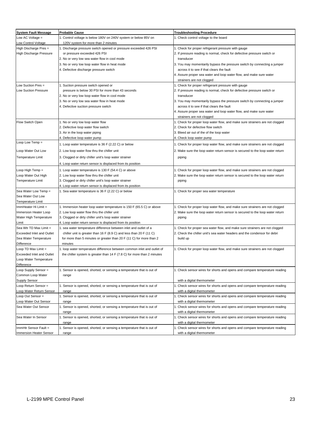| <b>System Fault Message</b>                   | <b>Probable Cause</b>                                                          | <b>Troubleshooting Procedure</b>                                                                         |
|-----------------------------------------------|--------------------------------------------------------------------------------|----------------------------------------------------------------------------------------------------------|
| Low AC Voltage $=$                            | 1. Control voltage is below 180V on 240V system or below 85V on                | 1. Check control voltage to the board                                                                    |
| Low Control Voltage                           | 120V system for more than 2 minutes                                            |                                                                                                          |
| High Discharge Pres =                         | 1. Discharge pressure switch opened or pressure exceeded 426 PSI               | 1. Check for proper refrigerant pressure with gauge                                                      |
| <b>High Discharge Pressure</b>                | or pressure exceeded 426 PSI                                                   | 2. If pressure reading is normal, check for defective pressure switch or                                 |
|                                               | 2. No or very low sea water flow in cool mode                                  | transducer                                                                                               |
|                                               | 3. No or very low loop water flow in heat mode                                 | 3. You may momentarily bypass the pressure switch by connecting a jumper                                 |
|                                               | 4. Defective discharge pressure switch                                         | across it to see if that clears the fault                                                                |
|                                               |                                                                                | 4. Assure proper sea water and loop water flow, and make sure water                                      |
|                                               |                                                                                | strainers are not clogged                                                                                |
| Low Suction Pres =                            | 1. Suction pressure switch opened or                                           | 1. Check for proper refrigerant pressure with gauge                                                      |
| Low Suction Pressure                          | pressure is below 30 PSI for more than 43 seconds                              | 2. If pressure reading is normal, check for defective pressure switch or                                 |
|                                               | 2. No or very low loop water flow in cool mode                                 | transducer                                                                                               |
|                                               | 3. No or very low sea water flow in heat mode                                  | 3. You may momentarily bypass the pressure switch by connecting a jumper                                 |
|                                               | 4. Defective suction pressure switch                                           | across it to see if that clears the fault                                                                |
|                                               |                                                                                | 4. Assure proper sea water and loop water flow, and make sure water                                      |
|                                               |                                                                                | strainers are not clogged                                                                                |
| Flow Switch Open                              | 1. No or very low loop water flow                                              | 1. Check for proper loop water flow, and make sure strainers are not clogged                             |
|                                               | 2. Defective loop water flow switch                                            | 2. Check for defective flow switch                                                                       |
|                                               | 3. Air in the loop water piping                                                | 3. Bleed air out of the of the loop water                                                                |
|                                               | 4. Defective loop water pump                                                   | 4. Check loop water pump                                                                                 |
| Loop Low Temp =                               | 1. Loop water temperature is 36 F (2.22 C) or below                            | 1. Check for proper loop water flow, and make sure strainers are not clogged                             |
| Loop Water Out Low                            | 2. Low loop water flow thru the chiller unit                                   | 2. Make sure the loop water return sensor is secured to the loop water return                            |
|                                               |                                                                                |                                                                                                          |
| <b>Temperature Limit</b>                      | 3. Clogged or dirty chiller unit's loop water strainer                         | piping                                                                                                   |
|                                               | 4. Loop water return sensor is displaced from its position                     |                                                                                                          |
| Loop High Temp =                              | 1. Loop water temperature is 130 F (54.4 C) or above                           | 1. Check for proper loop water flow, and make sure strainers are not clogged                             |
| Loop Water Out High                           | 2. Low loop water flow thru the chiller unit                                   | 2. Make sure the loop water return sensor is secured to the loop water return                            |
| <b>Temperature Limit</b>                      | 3. Clogged or dirty chiller unit's loop water strainer                         | piping                                                                                                   |
|                                               | 4. Loop water return sensor is displaced from its position                     |                                                                                                          |
| Sea Water Low Temp =                          | 1. Sea water temperature is 36 F (2.22 C) or below                             | 1. Check for proper sea water temperature                                                                |
| Sea Water Out Low                             |                                                                                |                                                                                                          |
| <b>Temperature Limit</b>                      |                                                                                |                                                                                                          |
| ImmHeater Hi Limit =                          | 1. Immersion heater loop water temperature is 150 F (65.5 C) or above          | 1. Check for proper loop water flow, and make sure strainers are not clogged                             |
| Immersion Heater Loop                         | 2. Low loop water flow thru the chiller unit                                   | 2. Make sure the loop water return sensor is secured to the loop water return                            |
| Water High Temperature                        | 3. Clogged or dirty chiller unit's loop water strainer                         | piping                                                                                                   |
| Limit                                         | 4. Loop water return sensor is displaced from its position                     |                                                                                                          |
| Sea Wtr TD Max Limit =                        | 1. sea water temperature difference between inlet and outlet of a              | 1. Check for proper sea water flow, and make sure strainers are not clogged                              |
| Exceeded Inlet and Outlet                     | chiller unit is greater than 16 F (8.9 C) and less than 20 F (11 C)            | 2. Check the chiller unit's sea water headers and the condensor for debri                                |
| Sea Water Temperature                         | for more than 5 minutes or greater than 20 F (11 C) for more than 2            | build up                                                                                                 |
| Difference                                    | minutes                                                                        |                                                                                                          |
| Loop TD Max Limit =                           | 1. loop water temperature difference between common inlet and outlet of        | 1. Check for proper loop water flow, and make sure strainers are not clogged                             |
| <b>Exceeded Inlet and Outlet</b>              | the chiller system is greater than 14 F (7.8 C) for more than 2 minutes        |                                                                                                          |
| Loop Water Temperature                        |                                                                                |                                                                                                          |
| Difference                                    |                                                                                |                                                                                                          |
| Loop Supply Sensor =                          | 1. Sensor is opened, shorted, or sensing a temperature that is out of          | 1. Check sensor wires for shorts and opens and compare temperature reading                               |
| Common Loop Water<br>Supply Sensor            | range                                                                          |                                                                                                          |
| Loop Return Sensor =                          | 1. Sensor is opened, shorted, or sensing a temperature that is out of          | with a digital thermometer<br>1. Check sensor wires for shorts and opens and compare temperature reading |
|                                               |                                                                                |                                                                                                          |
| Loop Water Return Sensor<br>Loop Out Sensor = | range<br>1. Sensor is opened, shorted, or sensing a temperature that is out of | with a digital thermometer<br>1. Check sensor wires for shorts and opens and compare temperature reading |
| Loop Water Out Sensor                         | range                                                                          | with a digital thermometer                                                                               |
| Sea Water Out Sensor                          | 1. Sensor is opened, shorted, or sensing a temperature that is out of          | 1. Check sensor wires for shorts and opens and compare temperature reading                               |
|                                               | range                                                                          | with a digital thermometer                                                                               |
| Sea Water In Sensor                           | 1. Sensor is opened, shorted, or sensing a temperature that is out of          | 1. Check sensor wires for shorts and opens and compare temperature reading                               |
|                                               | range                                                                          | with a digital thermometer                                                                               |
| ImmHtr Sensor Fault =                         | 1. Sensor is opened, shorted, or sensing a temperature that is out of          | 1. Check sensor wires for shorts and opens and compare temperature reading                               |
| Immersion Heater Sensor                       | range                                                                          | with a digital thermometer                                                                               |
|                                               |                                                                                |                                                                                                          |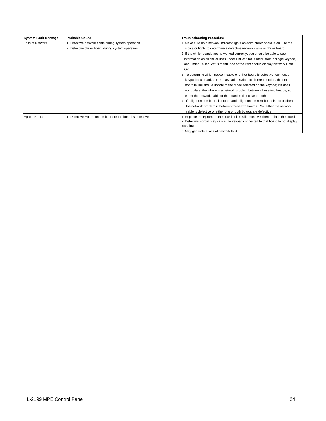| <b>System Fault Message</b> | <b>Probable Cause</b>                                  | <b>Troubleshooting Procedure</b>                                                           |
|-----------------------------|--------------------------------------------------------|--------------------------------------------------------------------------------------------|
| Loss of Network             | . Defective network cable during system operation      | 1. Make sure both network indicator lights on each chiller board is on; use the            |
|                             | 2. Defective chiller board during system operation     | indicator lights to determine a defective network cable or chiller board                   |
|                             |                                                        | 2. If the chiller boards are networked correctly, you should be able to see                |
|                             |                                                        | information on all chiller units under Chiller Status menu from a single keypad,           |
|                             |                                                        | and under Chiller Status menu, one of the item should display Network Data                 |
|                             |                                                        | OK                                                                                         |
|                             |                                                        | 3. To determine which network cable or chiller board is defective, connect a               |
|                             |                                                        | keypad to a board, use the keypad to switch to different modes, the next                   |
|                             |                                                        | board in line should update to the mode selected on the keypad; if it does                 |
|                             |                                                        | not update, then there is a network problem between these two boards, so                   |
|                             |                                                        | either the network cable or the board is defective or both                                 |
|                             |                                                        | 4. If a light on one board is not on and a light on the next board is not on then          |
|                             |                                                        | the network problem is between these two boards. So, either the network                    |
|                             |                                                        | cable is defective or either one or both boards are defective                              |
| <b>Eprom Errors</b>         | Defective Eprom on the board or the board is defective | . Replace the Eprom on the board, if it is still defective, then replace the board         |
|                             |                                                        | 2. Defective Eprom may cause the keypad connected to that board to not display<br>anything |
|                             |                                                        | 3. May generate a loss of network fault                                                    |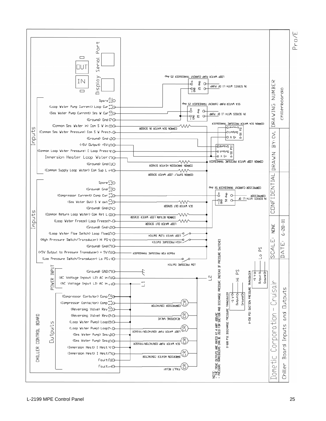